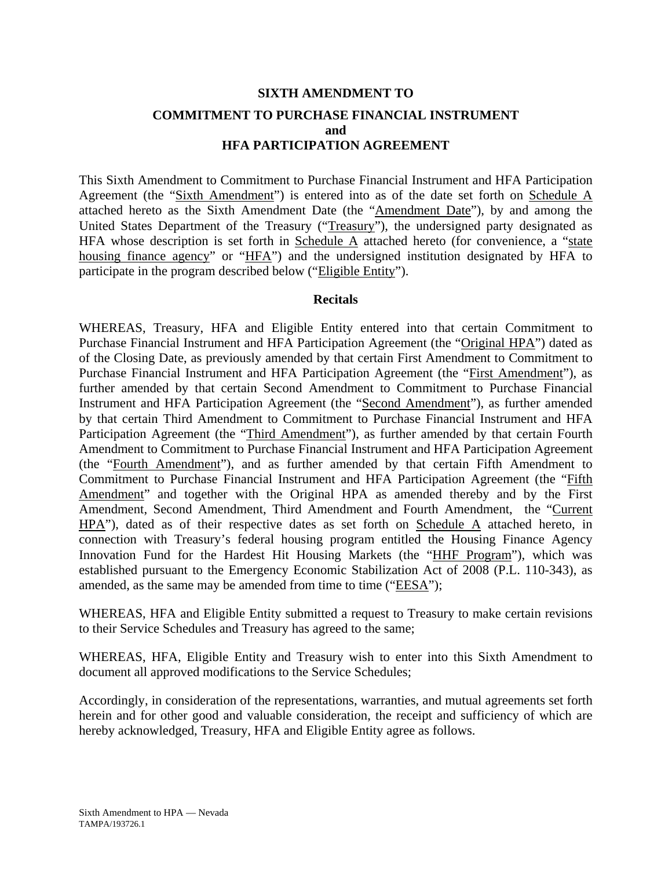# **SIXTH AMENDMENT TO COMMITMENT TO PURCHASE FINANCIAL INSTRUMENT and HFA PARTICIPATION AGREEMENT**

This Sixth Amendment to Commitment to Purchase Financial Instrument and HFA Participation Agreement (the "Sixth Amendment") is entered into as of the date set forth on Schedule A attached hereto as the Sixth Amendment Date (the "Amendment Date"), by and among the United States Department of the Treasury ("Treasury"), the undersigned party designated as HFA whose description is set forth in Schedule  $\overline{A}$  attached hereto (for convenience, a "state housing finance agency" or "HFA") and the undersigned institution designated by HFA to participate in the program described below ("Eligible Entity").

#### **Recitals**

WHEREAS, Treasury, HFA and Eligible Entity entered into that certain Commitment to Purchase Financial Instrument and HFA Participation Agreement (the "Original HPA") dated as of the Closing Date, as previously amended by that certain First Amendment to Commitment to Purchase Financial Instrument and HFA Participation Agreement (the "First Amendment"), as further amended by that certain Second Amendment to Commitment to Purchase Financial Instrument and HFA Participation Agreement (the "Second Amendment"), as further amended by that certain Third Amendment to Commitment to Purchase Financial Instrument and HFA Participation Agreement (the "Third Amendment"), as further amended by that certain Fourth Amendment to Commitment to Purchase Financial Instrument and HFA Participation Agreement (the "Fourth Amendment"), and as further amended by that certain Fifth Amendment to Commitment to Purchase Financial Instrument and HFA Participation Agreement (the "Fifth Amendment" and together with the Original HPA as amended thereby and by the First Amendment, Second Amendment, Third Amendment and Fourth Amendment, the "Current HPA"), dated as of their respective dates as set forth on Schedule A attached hereto, in connection with Treasury's federal housing program entitled the Housing Finance Agency Innovation Fund for the Hardest Hit Housing Markets (the "HHF Program"), which was established pursuant to the Emergency Economic Stabilization Act of 2008 (P.L. 110-343), as amended, as the same may be amended from time to time ("EESA");

WHEREAS, HFA and Eligible Entity submitted a request to Treasury to make certain revisions to their Service Schedules and Treasury has agreed to the same;

WHEREAS, HFA, Eligible Entity and Treasury wish to enter into this Sixth Amendment to document all approved modifications to the Service Schedules;

Accordingly, in consideration of the representations, warranties, and mutual agreements set forth herein and for other good and valuable consideration, the receipt and sufficiency of which are hereby acknowledged, Treasury, HFA and Eligible Entity agree as follows.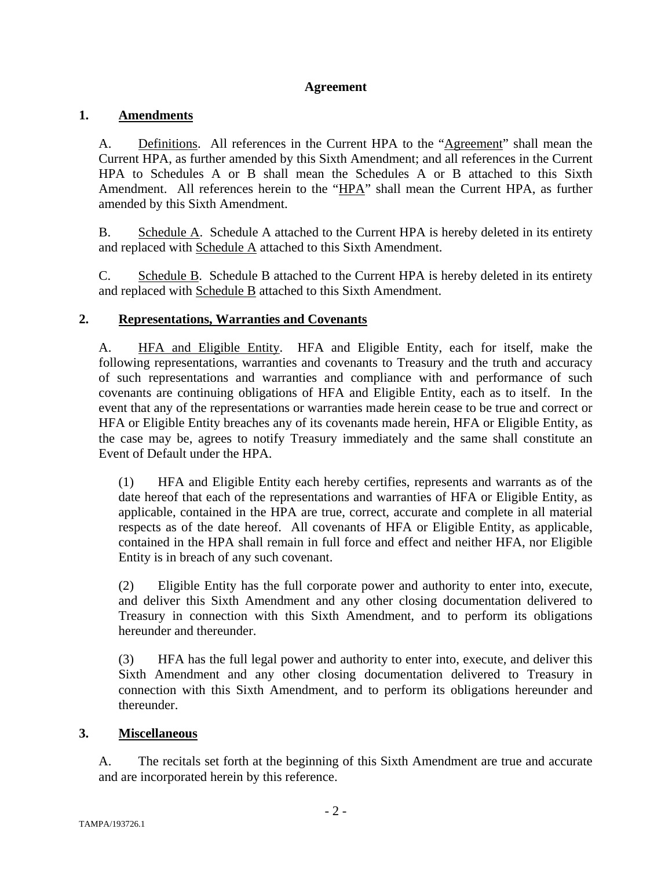#### **Agreement**

## **1. Amendments**

A. Definitions. All references in the Current HPA to the "Agreement" shall mean the Current HPA, as further amended by this Sixth Amendment; and all references in the Current HPA to Schedules A or B shall mean the Schedules A or B attached to this Sixth Amendment. All references herein to the "HPA" shall mean the Current HPA, as further amended by this Sixth Amendment.

B. Schedule A. Schedule A attached to the Current HPA is hereby deleted in its entirety and replaced with Schedule A attached to this Sixth Amendment.

C. Schedule B. Schedule B attached to the Current HPA is hereby deleted in its entirety and replaced with Schedule B attached to this Sixth Amendment.

## **2. Representations, Warranties and Covenants**

A. HFA and Eligible Entity. HFA and Eligible Entity, each for itself, make the following representations, warranties and covenants to Treasury and the truth and accuracy of such representations and warranties and compliance with and performance of such covenants are continuing obligations of HFA and Eligible Entity, each as to itself. In the event that any of the representations or warranties made herein cease to be true and correct or HFA or Eligible Entity breaches any of its covenants made herein, HFA or Eligible Entity, as the case may be, agrees to notify Treasury immediately and the same shall constitute an Event of Default under the HPA.

(1) HFA and Eligible Entity each hereby certifies, represents and warrants as of the date hereof that each of the representations and warranties of HFA or Eligible Entity, as applicable, contained in the HPA are true, correct, accurate and complete in all material respects as of the date hereof. All covenants of HFA or Eligible Entity, as applicable, contained in the HPA shall remain in full force and effect and neither HFA, nor Eligible Entity is in breach of any such covenant.

(2) Eligible Entity has the full corporate power and authority to enter into, execute, and deliver this Sixth Amendment and any other closing documentation delivered to Treasury in connection with this Sixth Amendment, and to perform its obligations hereunder and thereunder.

(3) HFA has the full legal power and authority to enter into, execute, and deliver this Sixth Amendment and any other closing documentation delivered to Treasury in connection with this Sixth Amendment, and to perform its obligations hereunder and thereunder.

#### **3. Miscellaneous**

A. The recitals set forth at the beginning of this Sixth Amendment are true and accurate and are incorporated herein by this reference.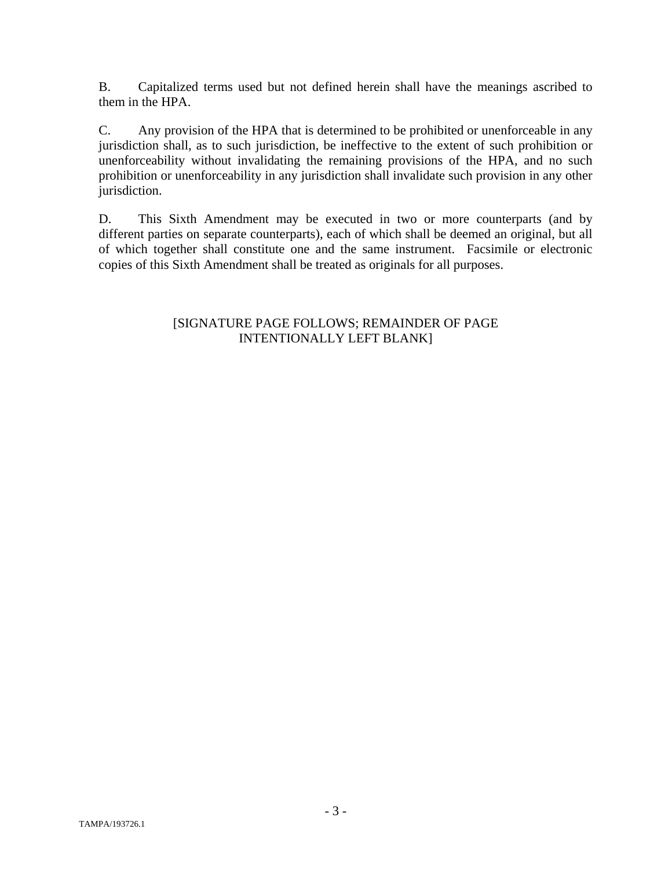B. Capitalized terms used but not defined herein shall have the meanings ascribed to them in the HPA.

C. Any provision of the HPA that is determined to be prohibited or unenforceable in any jurisdiction shall, as to such jurisdiction, be ineffective to the extent of such prohibition or unenforceability without invalidating the remaining provisions of the HPA, and no such prohibition or unenforceability in any jurisdiction shall invalidate such provision in any other jurisdiction.

D. This Sixth Amendment may be executed in two or more counterparts (and by different parties on separate counterparts), each of which shall be deemed an original, but all of which together shall constitute one and the same instrument. Facsimile or electronic copies of this Sixth Amendment shall be treated as originals for all purposes.

#### [SIGNATURE PAGE FOLLOWS; REMAINDER OF PAGE INTENTIONALLY LEFT BLANK]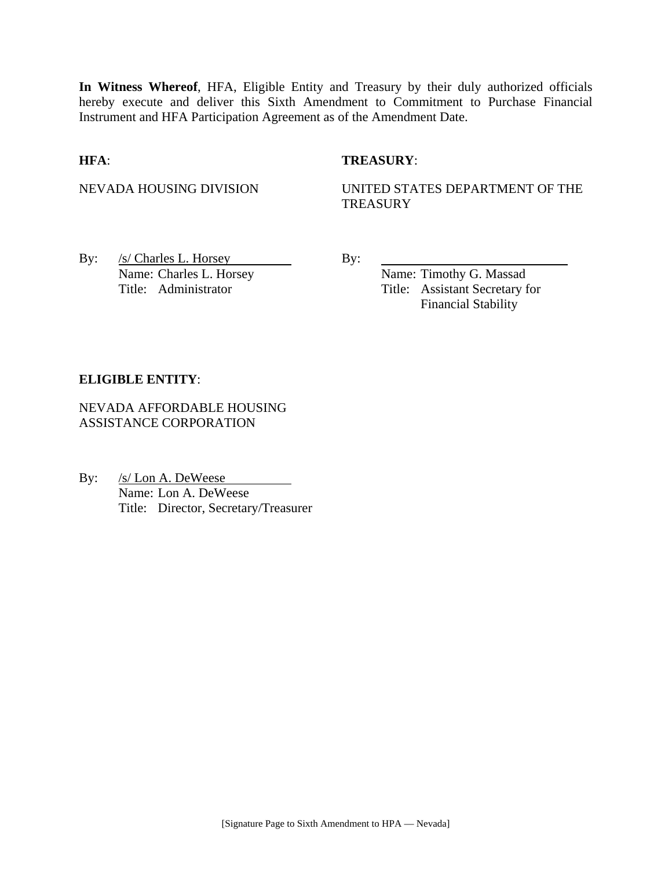**In Witness Whereof**, HFA, Eligible Entity and Treasury by their duly authorized officials hereby execute and deliver this Sixth Amendment to Commitment to Purchase Financial Instrument and HFA Participation Agreement as of the Amendment Date.

#### **HFA**: **TREASURY**:

NEVADA HOUSING DIVISION UNITED STATES DEPARTMENT OF THE **TREASURY** 

By:  $/s/$  Charles L. Horsey By: Name: Charles L. Horsey Name: Timothy G. Massad

Title: Administrator Title: Assistant Secretary for Financial Stability

#### **ELIGIBLE ENTITY**:

NEVADA AFFORDABLE HOUSING ASSISTANCE CORPORATION

By: /s/ Lon A. DeWeese Name: Lon A. DeWeese Title: Director, Secretary/Treasurer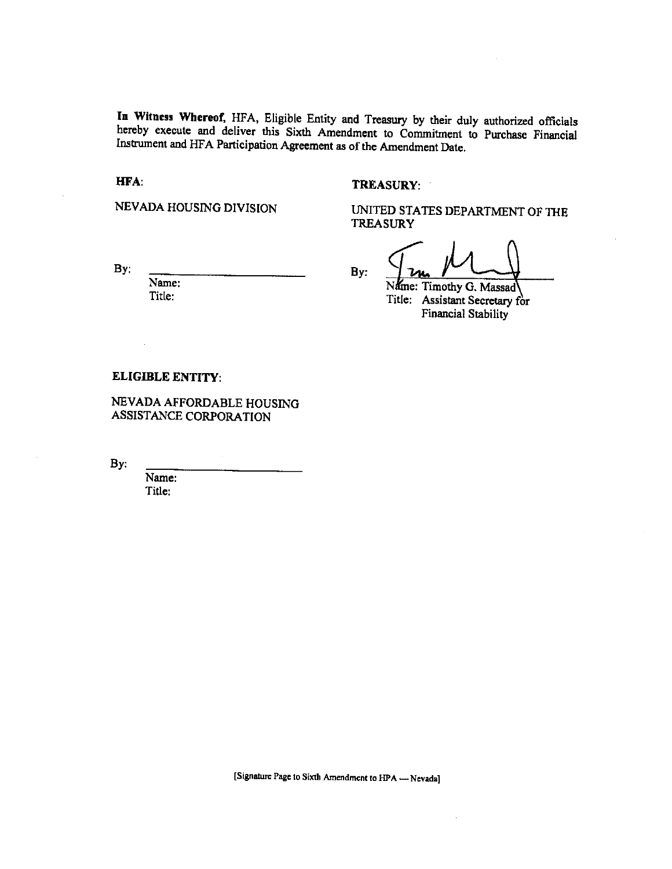In Witness Whereof, HFA, Eligible Entity and Treasury by their duly authorized officials hereby execute and deliver this Sixth Amendment to Commitment to Purchase Financial Instrument and HFA Participation Agreement as of the Amendment Date.

HFA:

#### **TREASURY:**

NEVADA HOUSING DIVISION

UNITED STATES DEPARTMENT OF THE **TREASURY** 

 $By:$ 

Name: Title:

By:

Name: Timothy G. Massad Title: Assistant Secretary for **Financial Stability** 

#### **ELIGIBLE ENTITY:**

NEVADA AFFORDABLE HOUSING ASSISTANCE CORPORATION

By:

Name: Title:

[Signature Page to Sixth Amendment to HPA - Nevada]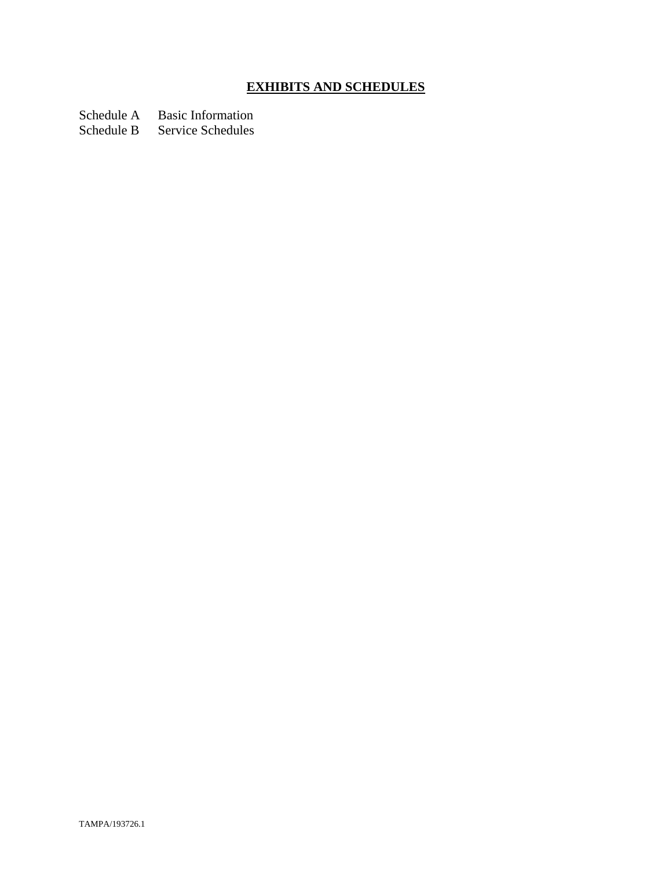# **EXHIBITS AND SCHEDULES**

Schedule A Basic Information

Schedule B Service Schedules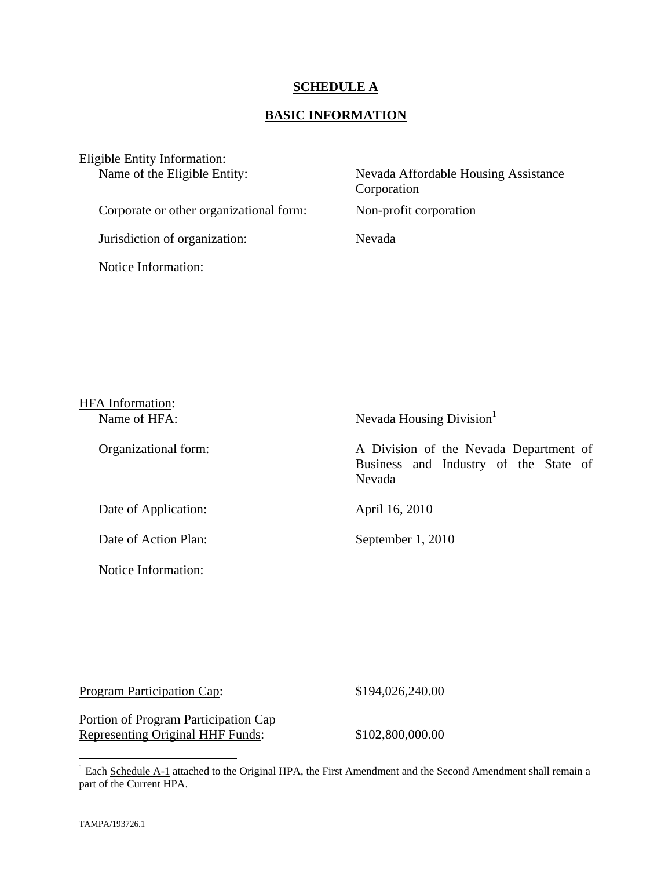#### **SCHEDULE A**

## **BASIC INFORMATION**

| Eligible Entity Information:            |                                                     |
|-----------------------------------------|-----------------------------------------------------|
| Name of the Eligible Entity:            | Nevada Affordable Housing Assistance<br>Corporation |
| Corporate or other organizational form: | Non-profit corporation                              |
| Jurisdiction of organization:           | Nevada                                              |
| Notice Information:                     |                                                     |

| <b>HFA</b> Information: |                                                                                           |
|-------------------------|-------------------------------------------------------------------------------------------|
| Name of HFA:            | Nevada Housing Division <sup>1</sup>                                                      |
| Organizational form:    | A Division of the Nevada Department of<br>Business and Industry of the State of<br>Nevada |
| Date of Application:    | April 16, 2010                                                                            |
| Date of Action Plan:    | September 1, 2010                                                                         |
| Notice Information:     |                                                                                           |

| Program Participation Cap: | \$194,026,240.00 |
|----------------------------|------------------|
|                            |                  |

Portion of Program Participation Cap Representing Original HHF Funds: \$102,800,000.00

<sup>&</sup>lt;sup>1</sup> Each Schedule A-1 attached to the Original HPA, the First Amendment and the Second Amendment shall remain a part of the Current HPA.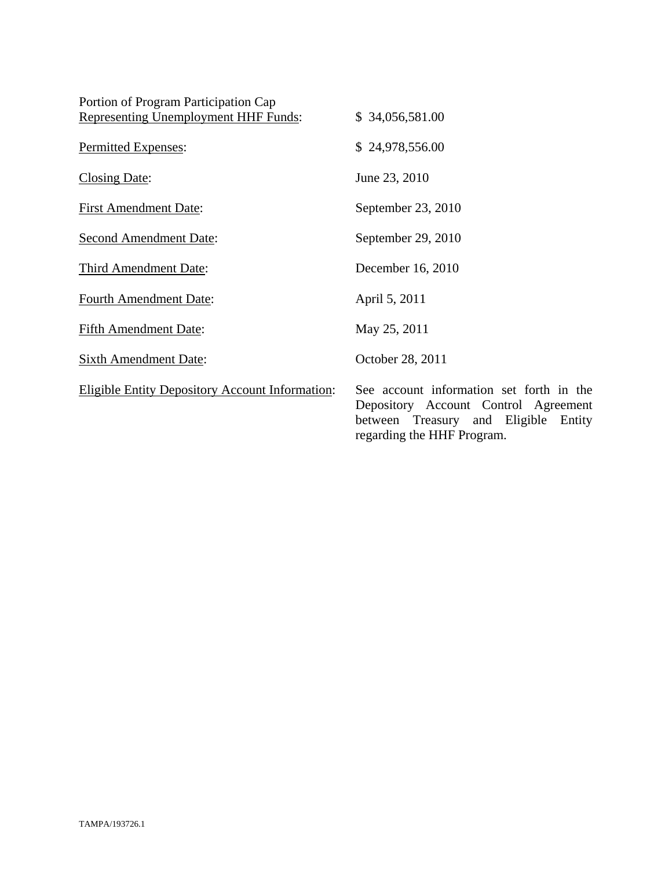| Portion of Program Participation Cap<br><b>Representing Unemployment HHF Funds:</b> | \$34,056,581.00                                                                                                                                        |
|-------------------------------------------------------------------------------------|--------------------------------------------------------------------------------------------------------------------------------------------------------|
| Permitted Expenses:                                                                 | \$24,978,556.00                                                                                                                                        |
| Closing Date:                                                                       | June 23, 2010                                                                                                                                          |
| <b>First Amendment Date:</b>                                                        | September 23, 2010                                                                                                                                     |
| <b>Second Amendment Date:</b>                                                       | September 29, 2010                                                                                                                                     |
| <b>Third Amendment Date:</b>                                                        | December 16, 2010                                                                                                                                      |
| <b>Fourth Amendment Date:</b>                                                       | April 5, 2011                                                                                                                                          |
| <b>Fifth Amendment Date:</b>                                                        | May 25, 2011                                                                                                                                           |
| <b>Sixth Amendment Date:</b>                                                        | October 28, 2011                                                                                                                                       |
| <b>Eligible Entity Depository Account Information:</b>                              | See account information set forth in the<br>Depository Account Control Agreement<br>between Treasury and Eligible Entity<br>regarding the HHF Program. |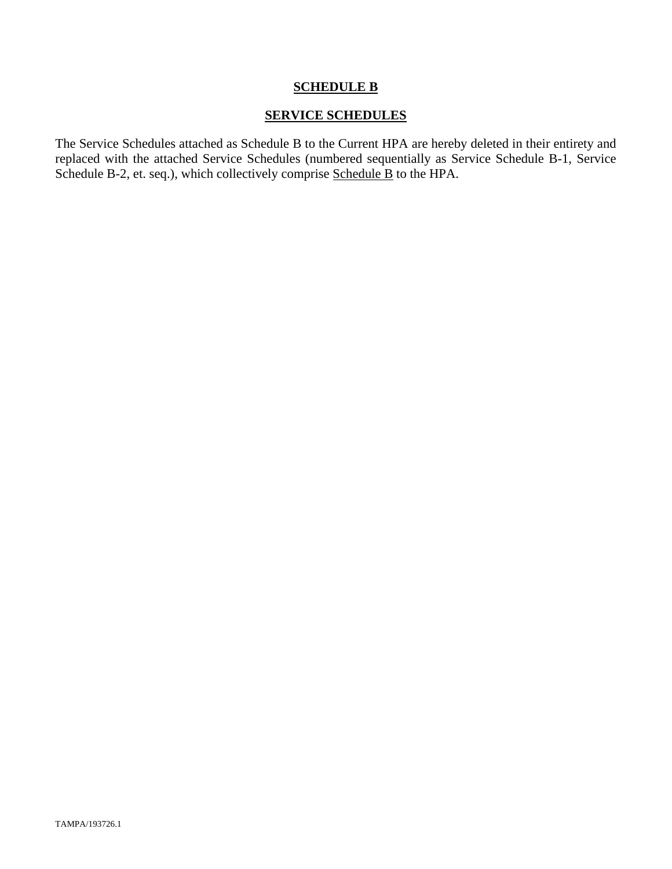#### **SCHEDULE B**

#### **SERVICE SCHEDULES**

The Service Schedules attached as Schedule B to the Current HPA are hereby deleted in their entirety and replaced with the attached Service Schedules (numbered sequentially as Service Schedule B-1, Service Schedule B-2, et. seq.), which collectively comprise Schedule B to the HPA.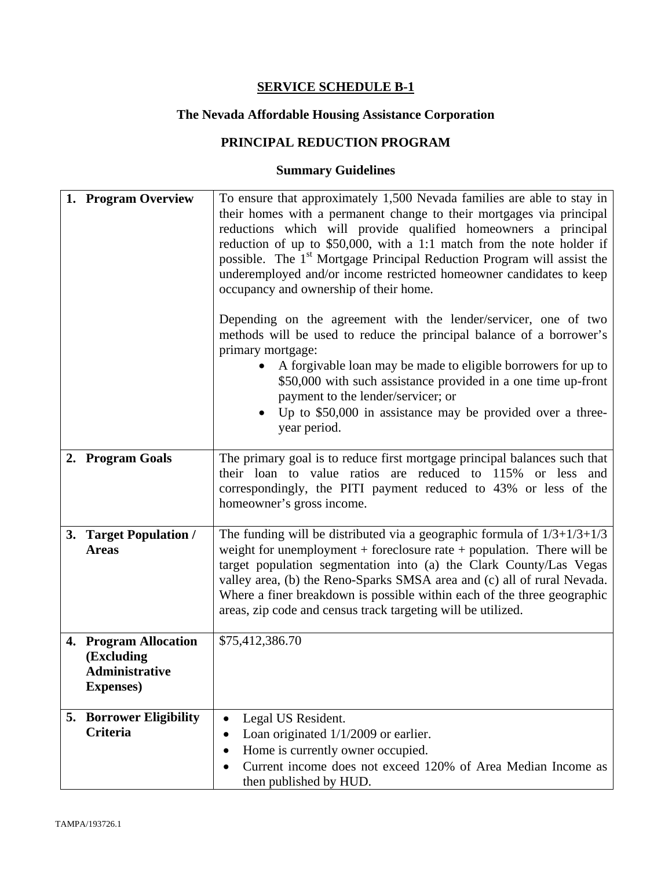# **The Nevada Affordable Housing Assistance Corporation**

# **PRINCIPAL REDUCTION PROGRAM**

| 1. Program Overview                                                               | To ensure that approximately 1,500 Nevada families are able to stay in<br>their homes with a permanent change to their mortgages via principal<br>reductions which will provide qualified homeowners a principal<br>reduction of up to \$50,000, with a 1:1 match from the note holder if<br>possible. The 1 <sup>st</sup> Mortgage Principal Reduction Program will assist the<br>underemployed and/or income restricted homeowner candidates to keep<br>occupancy and ownership of their home.<br>Depending on the agreement with the lender/servicer, one of two<br>methods will be used to reduce the principal balance of a borrower's<br>primary mortgage:<br>A forgivable loan may be made to eligible borrowers for up to<br>\$50,000 with such assistance provided in a one time up-front<br>payment to the lender/servicer; or<br>Up to \$50,000 in assistance may be provided over a three-<br>year period. |
|-----------------------------------------------------------------------------------|------------------------------------------------------------------------------------------------------------------------------------------------------------------------------------------------------------------------------------------------------------------------------------------------------------------------------------------------------------------------------------------------------------------------------------------------------------------------------------------------------------------------------------------------------------------------------------------------------------------------------------------------------------------------------------------------------------------------------------------------------------------------------------------------------------------------------------------------------------------------------------------------------------------------|
| 2. Program Goals                                                                  | The primary goal is to reduce first mortgage principal balances such that<br>their loan to value ratios are reduced to 115% or less and<br>correspondingly, the PITI payment reduced to 43% or less of the<br>homeowner's gross income.                                                                                                                                                                                                                                                                                                                                                                                                                                                                                                                                                                                                                                                                                |
| 3. Target Population /<br><b>Areas</b>                                            | The funding will be distributed via a geographic formula of $1/3+1/3+1/3$<br>weight for unemployment + foreclosure rate + population. There will be<br>target population segmentation into (a) the Clark County/Las Vegas<br>valley area, (b) the Reno-Sparks SMSA area and (c) all of rural Nevada.<br>Where a finer breakdown is possible within each of the three geographic<br>areas, zip code and census track targeting will be utilized.                                                                                                                                                                                                                                                                                                                                                                                                                                                                        |
| 4. Program Allocation<br>(Excluding<br><b>Administrative</b><br><b>Expenses</b> ) | \$75,412,386.70                                                                                                                                                                                                                                                                                                                                                                                                                                                                                                                                                                                                                                                                                                                                                                                                                                                                                                        |
| 5. Borrower Eligibility<br><b>Criteria</b>                                        | Legal US Resident.<br>$\bullet$<br>Loan originated 1/1/2009 or earlier.<br>٠<br>Home is currently owner occupied.<br>$\bullet$<br>Current income does not exceed 120% of Area Median Income as<br>$\bullet$<br>then published by HUD.                                                                                                                                                                                                                                                                                                                                                                                                                                                                                                                                                                                                                                                                                  |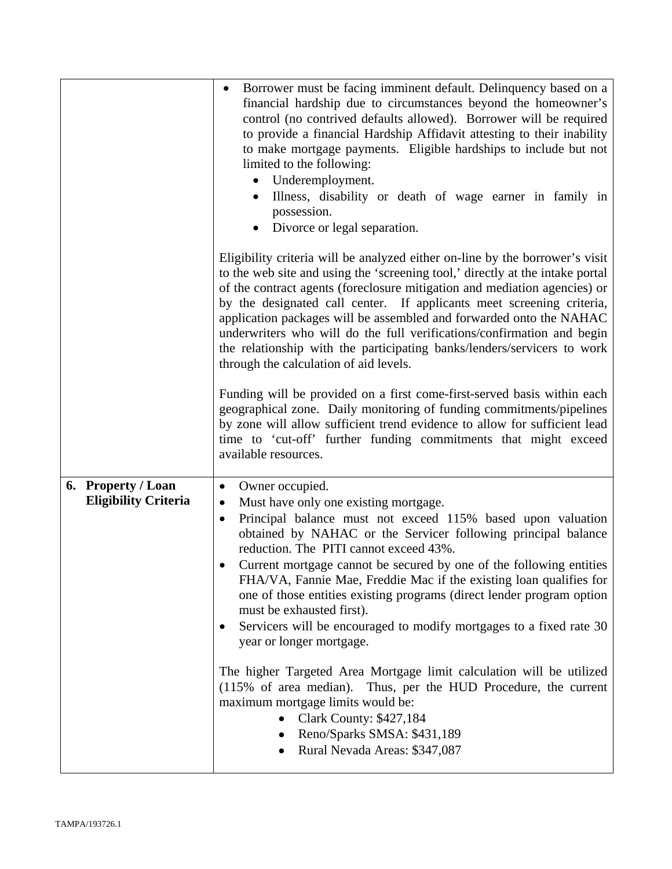|                                                   | Borrower must be facing imminent default. Delinquency based on a<br>financial hardship due to circumstances beyond the homeowner's<br>control (no contrived defaults allowed). Borrower will be required<br>to provide a financial Hardship Affidavit attesting to their inability<br>to make mortgage payments. Eligible hardships to include but not<br>limited to the following:<br>Underemployment.<br>$\bullet$<br>Illness, disability or death of wage earner in family in<br>possession.<br>Divorce or legal separation.                                                                                                                                                                                                                                                                                                                                                                                   |
|---------------------------------------------------|-------------------------------------------------------------------------------------------------------------------------------------------------------------------------------------------------------------------------------------------------------------------------------------------------------------------------------------------------------------------------------------------------------------------------------------------------------------------------------------------------------------------------------------------------------------------------------------------------------------------------------------------------------------------------------------------------------------------------------------------------------------------------------------------------------------------------------------------------------------------------------------------------------------------|
|                                                   | Eligibility criteria will be analyzed either on-line by the borrower's visit<br>to the web site and using the 'screening tool,' directly at the intake portal<br>of the contract agents (foreclosure mitigation and mediation agencies) or<br>by the designated call center. If applicants meet screening criteria,<br>application packages will be assembled and forwarded onto the NAHAC<br>underwriters who will do the full verifications/confirmation and begin<br>the relationship with the participating banks/lenders/servicers to work<br>through the calculation of aid levels.                                                                                                                                                                                                                                                                                                                         |
|                                                   | Funding will be provided on a first come-first-served basis within each<br>geographical zone. Daily monitoring of funding commitments/pipelines<br>by zone will allow sufficient trend evidence to allow for sufficient lead<br>time to 'cut-off' further funding commitments that might exceed<br>available resources.                                                                                                                                                                                                                                                                                                                                                                                                                                                                                                                                                                                           |
| 6. Property / Loan<br><b>Eligibility Criteria</b> | Owner occupied.<br>$\bullet$<br>Must have only one existing mortgage.<br>$\bullet$<br>Principal balance must not exceed 115% based upon valuation<br>$\bullet$<br>obtained by NAHAC or the Servicer following principal balance<br>reduction. The PITI cannot exceed 43%.<br>Current mortgage cannot be secured by one of the following entities<br>FHA/VA, Fannie Mae, Freddie Mac if the existing loan qualifies for<br>one of those entities existing programs (direct lender program option<br>must be exhausted first).<br>Servicers will be encouraged to modify mortgages to a fixed rate 30<br>year or longer mortgage.<br>The higher Targeted Area Mortgage limit calculation will be utilized<br>(115% of area median). Thus, per the HUD Procedure, the current<br>maximum mortgage limits would be:<br><b>Clark County: \$427,184</b><br>Reno/Sparks SMSA: \$431,189<br>Rural Nevada Areas: \$347,087 |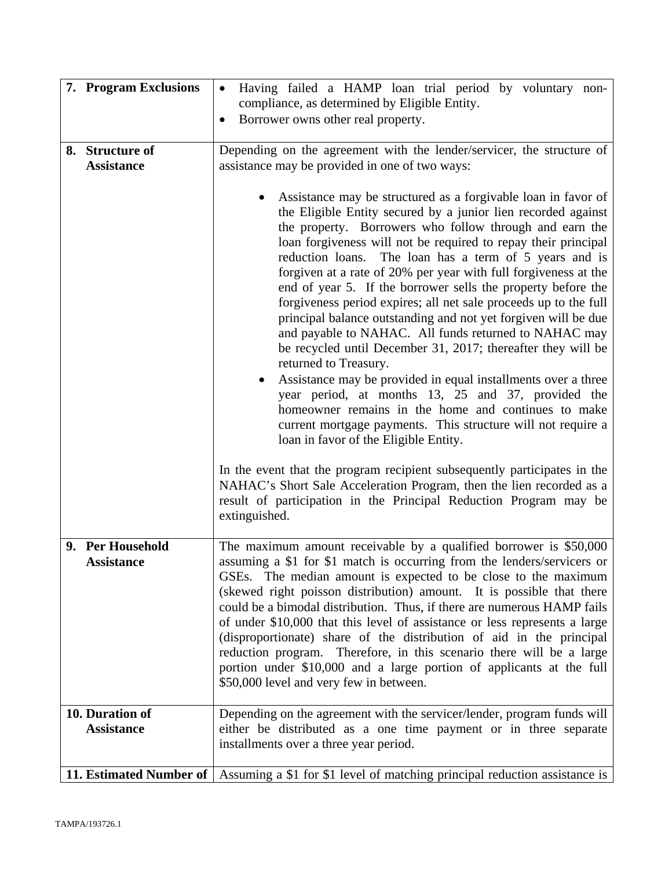| 7. Program Exclusions                | Having failed a HAMP loan trial period by voluntary non-<br>$\bullet$                                                                                                                                                                                                                                                                                                                                                                                                                                                                                                                                                                                                                                                                                                                                                                                                                                                                                                                                                                                                                                                                                                                                                                                                                |
|--------------------------------------|--------------------------------------------------------------------------------------------------------------------------------------------------------------------------------------------------------------------------------------------------------------------------------------------------------------------------------------------------------------------------------------------------------------------------------------------------------------------------------------------------------------------------------------------------------------------------------------------------------------------------------------------------------------------------------------------------------------------------------------------------------------------------------------------------------------------------------------------------------------------------------------------------------------------------------------------------------------------------------------------------------------------------------------------------------------------------------------------------------------------------------------------------------------------------------------------------------------------------------------------------------------------------------------|
|                                      | compliance, as determined by Eligible Entity.<br>Borrower owns other real property.<br>$\bullet$                                                                                                                                                                                                                                                                                                                                                                                                                                                                                                                                                                                                                                                                                                                                                                                                                                                                                                                                                                                                                                                                                                                                                                                     |
|                                      |                                                                                                                                                                                                                                                                                                                                                                                                                                                                                                                                                                                                                                                                                                                                                                                                                                                                                                                                                                                                                                                                                                                                                                                                                                                                                      |
| 8. Structure of                      | Depending on the agreement with the lender/servicer, the structure of                                                                                                                                                                                                                                                                                                                                                                                                                                                                                                                                                                                                                                                                                                                                                                                                                                                                                                                                                                                                                                                                                                                                                                                                                |
| <b>Assistance</b>                    | assistance may be provided in one of two ways:                                                                                                                                                                                                                                                                                                                                                                                                                                                                                                                                                                                                                                                                                                                                                                                                                                                                                                                                                                                                                                                                                                                                                                                                                                       |
|                                      | Assistance may be structured as a forgivable loan in favor of<br>the Eligible Entity secured by a junior lien recorded against<br>the property. Borrowers who follow through and earn the<br>loan forgiveness will not be required to repay their principal<br>The loan has a term of 5 years and is<br>reduction loans.<br>forgiven at a rate of 20% per year with full forgiveness at the<br>end of year 5. If the borrower sells the property before the<br>forgiveness period expires; all net sale proceeds up to the full<br>principal balance outstanding and not yet forgiven will be due<br>and payable to NAHAC. All funds returned to NAHAC may<br>be recycled until December 31, 2017; thereafter they will be<br>returned to Treasury.<br>Assistance may be provided in equal installments over a three<br>year period, at months 13, 25 and 37, provided the<br>homeowner remains in the home and continues to make<br>current mortgage payments. This structure will not require a<br>loan in favor of the Eligible Entity.<br>In the event that the program recipient subsequently participates in the<br>NAHAC's Short Sale Acceleration Program, then the lien recorded as a<br>result of participation in the Principal Reduction Program may be<br>extinguished. |
| 9. Per Household                     | The maximum amount receivable by a qualified borrower is \$50,000                                                                                                                                                                                                                                                                                                                                                                                                                                                                                                                                                                                                                                                                                                                                                                                                                                                                                                                                                                                                                                                                                                                                                                                                                    |
| <b>Assistance</b><br>10. Duration of | assuming a \$1 for \$1 match is occurring from the lenders/servicers or<br>GSEs. The median amount is expected to be close to the maximum<br>(skewed right poisson distribution) amount. It is possible that there<br>could be a bimodal distribution. Thus, if there are numerous HAMP fails<br>of under \$10,000 that this level of assistance or less represents a large<br>(disproportionate) share of the distribution of aid in the principal<br>reduction program. Therefore, in this scenario there will be a large<br>portion under \$10,000 and a large portion of applicants at the full<br>\$50,000 level and very few in between.<br>Depending on the agreement with the servicer/lender, program funds will                                                                                                                                                                                                                                                                                                                                                                                                                                                                                                                                                            |
| <b>Assistance</b>                    | either be distributed as a one time payment or in three separate<br>installments over a three year period.                                                                                                                                                                                                                                                                                                                                                                                                                                                                                                                                                                                                                                                                                                                                                                                                                                                                                                                                                                                                                                                                                                                                                                           |
| 11. Estimated Number of              | Assuming a \$1 for \$1 level of matching principal reduction assistance is                                                                                                                                                                                                                                                                                                                                                                                                                                                                                                                                                                                                                                                                                                                                                                                                                                                                                                                                                                                                                                                                                                                                                                                                           |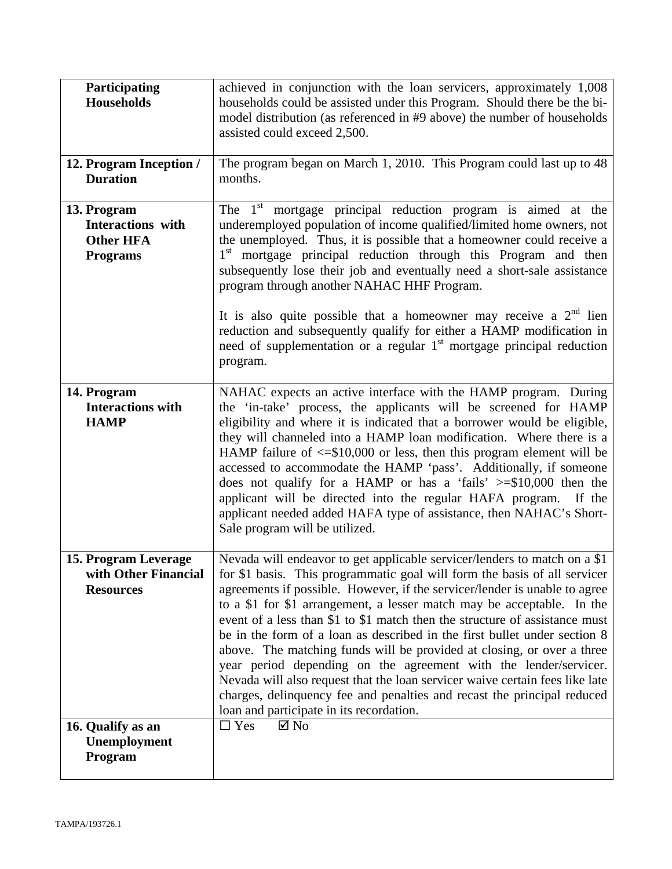| Participating<br><b>Households</b>                                      | achieved in conjunction with the loan servicers, approximately 1,008<br>households could be assisted under this Program. Should there be the bi-<br>model distribution (as referenced in #9 above) the number of households<br>assisted could exceed 2,500.                                                                                                                                                                                                                                                                                                                                                                                                                                                                                                                                                                     |
|-------------------------------------------------------------------------|---------------------------------------------------------------------------------------------------------------------------------------------------------------------------------------------------------------------------------------------------------------------------------------------------------------------------------------------------------------------------------------------------------------------------------------------------------------------------------------------------------------------------------------------------------------------------------------------------------------------------------------------------------------------------------------------------------------------------------------------------------------------------------------------------------------------------------|
| 12. Program Inception /<br><b>Duration</b>                              | The program began on March 1, 2010. This Program could last up to 48<br>months.                                                                                                                                                                                                                                                                                                                                                                                                                                                                                                                                                                                                                                                                                                                                                 |
| 13. Program<br>Interactions with<br><b>Other HFA</b><br><b>Programs</b> | The $1st$ mortgage principal reduction program is aimed at the<br>underemployed population of income qualified/limited home owners, not<br>the unemployed. Thus, it is possible that a homeowner could receive a<br>1 <sup>st</sup> mortgage principal reduction through this Program and then<br>subsequently lose their job and eventually need a short-sale assistance<br>program through another NAHAC HHF Program.<br>It is also quite possible that a homeowner may receive a $2nd$ lien<br>reduction and subsequently qualify for either a HAMP modification in<br>need of supplementation or a regular 1 <sup>st</sup> mortgage principal reduction                                                                                                                                                                     |
| 14. Program<br><b>Interactions with</b><br><b>HAMP</b>                  | program.<br>NAHAC expects an active interface with the HAMP program. During<br>the 'in-take' process, the applicants will be screened for HAMP<br>eligibility and where it is indicated that a borrower would be eligible,<br>they will channeled into a HAMP loan modification. Where there is a<br>HAMP failure of $\leq$ \$10,000 or less, then this program element will be<br>accessed to accommodate the HAMP 'pass'. Additionally, if someone<br>does not qualify for a HAMP or has a 'fails' $\ge$ =\$10,000 then the<br>applicant will be directed into the regular HAFA program. If the<br>applicant needed added HAFA type of assistance, then NAHAC's Short-<br>Sale program will be utilized.                                                                                                                      |
| 15. Program Leverage<br>with Other Financial<br><b>Resources</b>        | Nevada will endeavor to get applicable servicer/lenders to match on a \$1<br>for \$1 basis. This programmatic goal will form the basis of all servicer<br>agreements if possible. However, if the servicer/lender is unable to agree<br>to a \$1 for \$1 arrangement, a lesser match may be acceptable. In the<br>event of a less than \$1 to \$1 match then the structure of assistance must<br>be in the form of a loan as described in the first bullet under section 8<br>above. The matching funds will be provided at closing, or over a three<br>year period depending on the agreement with the lender/servicer.<br>Nevada will also request that the loan servicer waive certain fees like late<br>charges, delinquency fee and penalties and recast the principal reduced<br>loan and participate in its recordation. |
| 16. Qualify as an<br>Unemployment<br>Program                            | $\Box$ Yes<br>$\boxtimes$ No                                                                                                                                                                                                                                                                                                                                                                                                                                                                                                                                                                                                                                                                                                                                                                                                    |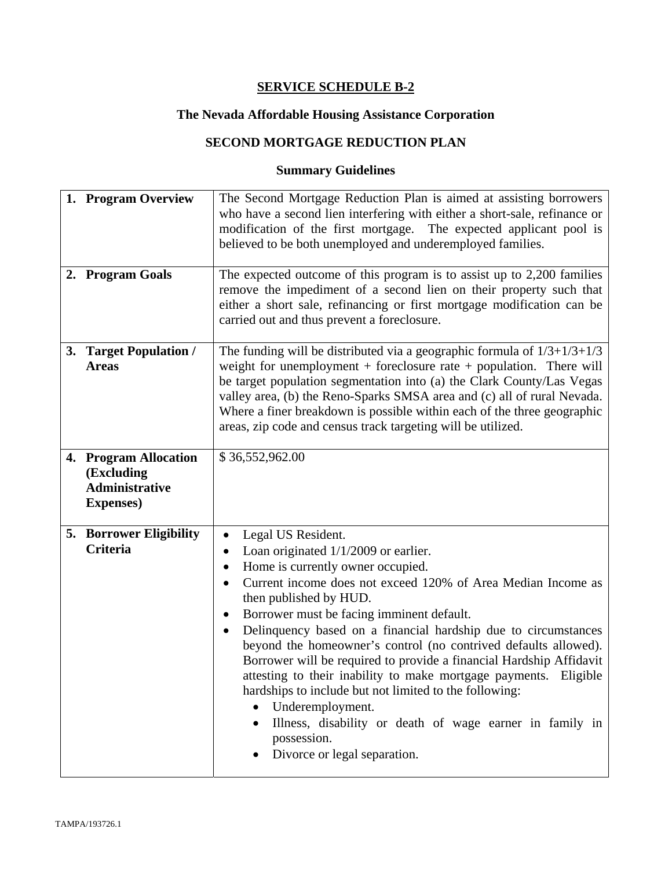# **The Nevada Affordable Housing Assistance Corporation**

# **SECOND MORTGAGE REDUCTION PLAN**

| 1. Program Overview<br>2. Program Goals                                           | The Second Mortgage Reduction Plan is aimed at assisting borrowers<br>who have a second lien interfering with either a short-sale, refinance or<br>modification of the first mortgage. The expected applicant pool is<br>believed to be both unemployed and underemployed families.<br>The expected outcome of this program is to assist up to $2,200$ families<br>remove the impediment of a second lien on their property such that                                                                                                                                                                                                                                                                                                               |
|-----------------------------------------------------------------------------------|-----------------------------------------------------------------------------------------------------------------------------------------------------------------------------------------------------------------------------------------------------------------------------------------------------------------------------------------------------------------------------------------------------------------------------------------------------------------------------------------------------------------------------------------------------------------------------------------------------------------------------------------------------------------------------------------------------------------------------------------------------|
|                                                                                   | either a short sale, refinancing or first mortgage modification can be<br>carried out and thus prevent a foreclosure.                                                                                                                                                                                                                                                                                                                                                                                                                                                                                                                                                                                                                               |
| 3. Target Population /<br><b>Areas</b>                                            | The funding will be distributed via a geographic formula of $1/3+1/3+1/3$<br>weight for unemployment $+$ foreclosure rate $+$ population. There will<br>be target population segmentation into (a) the Clark County/Las Vegas<br>valley area, (b) the Reno-Sparks SMSA area and (c) all of rural Nevada.<br>Where a finer breakdown is possible within each of the three geographic<br>areas, zip code and census track targeting will be utilized.                                                                                                                                                                                                                                                                                                 |
| 4. Program Allocation<br>(Excluding<br><b>Administrative</b><br><b>Expenses</b> ) | \$36,552,962.00                                                                                                                                                                                                                                                                                                                                                                                                                                                                                                                                                                                                                                                                                                                                     |
| <b>5. Borrower Eligibility</b><br><b>Criteria</b>                                 | Legal US Resident.<br>$\bullet$<br>Loan originated $1/1/2009$ or earlier.<br>Home is currently owner occupied.<br>٠<br>Current income does not exceed 120% of Area Median Income as<br>then published by HUD.<br>Borrower must be facing imminent default.<br>$\bullet$<br>Delinquency based on a financial hardship due to circumstances<br>beyond the homeowner's control (no contrived defaults allowed).<br>Borrower will be required to provide a financial Hardship Affidavit<br>attesting to their inability to make mortgage payments.<br>Eligible<br>hardships to include but not limited to the following:<br>Underemployment.<br>Illness, disability or death of wage earner in family in<br>possession.<br>Divorce or legal separation. |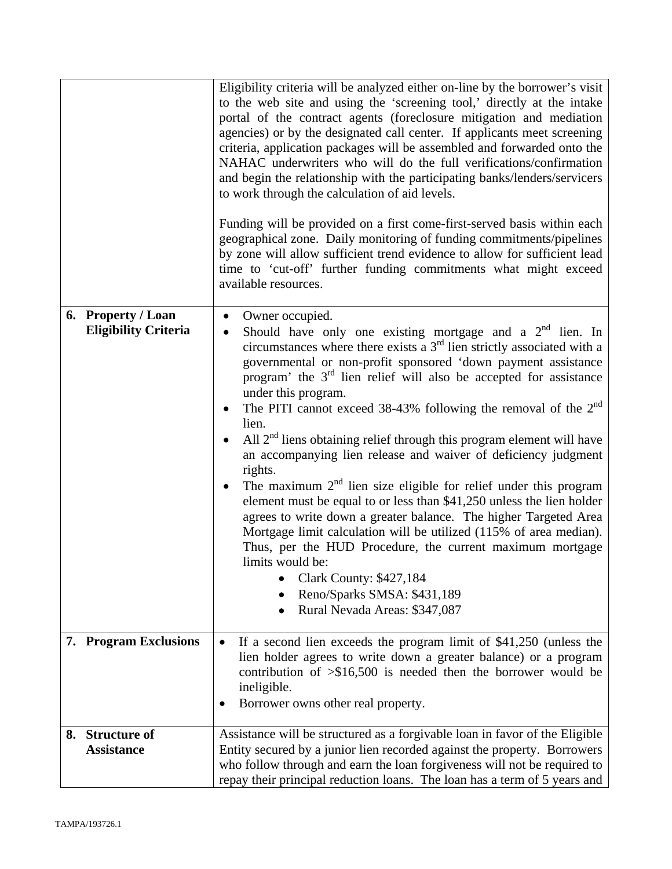|                                                   | Eligibility criteria will be analyzed either on-line by the borrower's visit<br>to the web site and using the 'screening tool,' directly at the intake<br>portal of the contract agents (foreclosure mitigation and mediation<br>agencies) or by the designated call center. If applicants meet screening<br>criteria, application packages will be assembled and forwarded onto the<br>NAHAC underwriters who will do the full verifications/confirmation<br>and begin the relationship with the participating banks/lenders/servicers<br>to work through the calculation of aid levels.<br>Funding will be provided on a first come-first-served basis within each<br>geographical zone. Daily monitoring of funding commitments/pipelines<br>by zone will allow sufficient trend evidence to allow for sufficient lead<br>time to 'cut-off' further funding commitments what might exceed<br>available resources.                                                                                                                                                                              |
|---------------------------------------------------|---------------------------------------------------------------------------------------------------------------------------------------------------------------------------------------------------------------------------------------------------------------------------------------------------------------------------------------------------------------------------------------------------------------------------------------------------------------------------------------------------------------------------------------------------------------------------------------------------------------------------------------------------------------------------------------------------------------------------------------------------------------------------------------------------------------------------------------------------------------------------------------------------------------------------------------------------------------------------------------------------------------------------------------------------------------------------------------------------|
| 6. Property / Loan<br><b>Eligibility Criteria</b> | Owner occupied.<br>$\bullet$<br>Should have only one existing mortgage and a $2nd$ lien. In<br>$\bullet$<br>circumstances where there exists a $3rd$ lien strictly associated with a<br>governmental or non-profit sponsored 'down payment assistance<br>program' the $3rd$ lien relief will also be accepted for assistance<br>under this program.<br>The PITI cannot exceed $38-43\%$ following the removal of the $2nd$<br>$\bullet$<br>lien.<br>All $2nd$ liens obtaining relief through this program element will have<br>an accompanying lien release and waiver of deficiency judgment<br>rights.<br>The maximum $2nd$ lien size eligible for relief under this program<br>$\bullet$<br>element must be equal to or less than \$41,250 unless the lien holder<br>agrees to write down a greater balance. The higher Targeted Area<br>Mortgage limit calculation will be utilized (115% of area median).<br>Thus, per the HUD Procedure, the current maximum mortgage<br>limits would be:<br><b>Clark County: \$427,184</b><br>Reno/Sparks SMSA: \$431,189<br>Rural Nevada Areas: \$347,087 |
| 7. Program Exclusions                             | If a second lien exceeds the program limit of \$41,250 (unless the<br>$\bullet$<br>lien holder agrees to write down a greater balance) or a program<br>contribution of $\geq$ \$16,500 is needed then the borrower would be<br>ineligible.<br>Borrower owns other real property.                                                                                                                                                                                                                                                                                                                                                                                                                                                                                                                                                                                                                                                                                                                                                                                                                  |
| <b>Structure of</b><br>8.<br><b>Assistance</b>    | Assistance will be structured as a forgivable loan in favor of the Eligible<br>Entity secured by a junior lien recorded against the property. Borrowers<br>who follow through and earn the loan forgiveness will not be required to<br>repay their principal reduction loans. The loan has a term of 5 years and                                                                                                                                                                                                                                                                                                                                                                                                                                                                                                                                                                                                                                                                                                                                                                                  |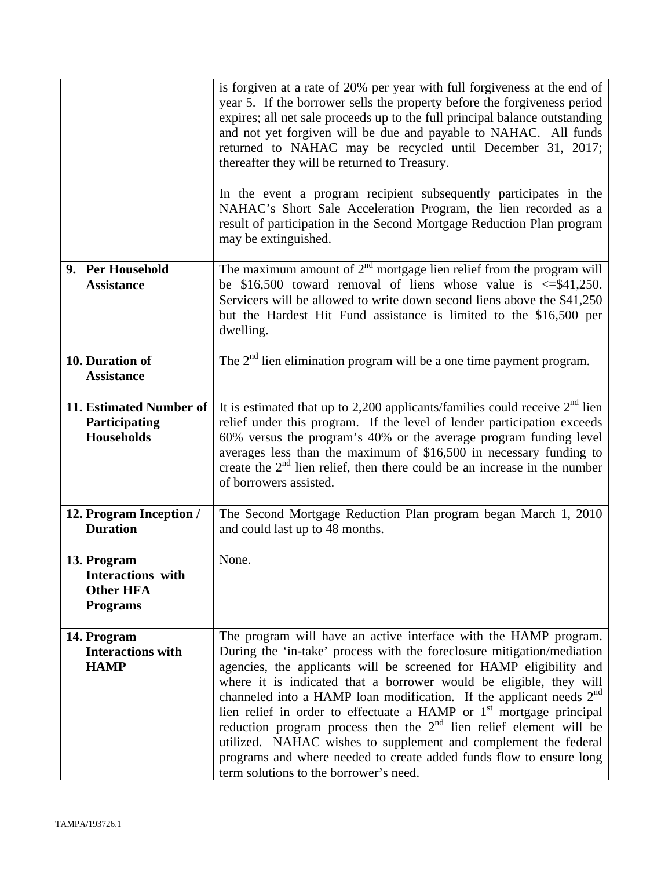|                                                                                | is forgiven at a rate of 20% per year with full forgiveness at the end of<br>year 5. If the borrower sells the property before the forgiveness period<br>expires; all net sale proceeds up to the full principal balance outstanding<br>and not yet forgiven will be due and payable to NAHAC. All funds<br>returned to NAHAC may be recycled until December 31, 2017;<br>thereafter they will be returned to Treasury.<br>In the event a program recipient subsequently participates in the<br>NAHAC's Short Sale Acceleration Program, the lien recorded as a<br>result of participation in the Second Mortgage Reduction Plan program                                                                                 |
|--------------------------------------------------------------------------------|--------------------------------------------------------------------------------------------------------------------------------------------------------------------------------------------------------------------------------------------------------------------------------------------------------------------------------------------------------------------------------------------------------------------------------------------------------------------------------------------------------------------------------------------------------------------------------------------------------------------------------------------------------------------------------------------------------------------------|
|                                                                                | may be extinguished.                                                                                                                                                                                                                                                                                                                                                                                                                                                                                                                                                                                                                                                                                                     |
| 9. Per Household<br><b>Assistance</b>                                          | The maximum amount of $2nd$ mortgage lien relief from the program will<br>be \$16,500 toward removal of liens whose value is $\leq$ \$41,250.<br>Servicers will be allowed to write down second liens above the \$41,250<br>but the Hardest Hit Fund assistance is limited to the \$16,500 per<br>dwelling.                                                                                                                                                                                                                                                                                                                                                                                                              |
| 10. Duration of<br><b>Assistance</b>                                           | The $2nd$ lien elimination program will be a one time payment program.                                                                                                                                                                                                                                                                                                                                                                                                                                                                                                                                                                                                                                                   |
| 11. Estimated Number of<br>Participating<br><b>Households</b>                  | It is estimated that up to 2,200 applicants/families could receive $2nd$ lien<br>relief under this program. If the level of lender participation exceeds<br>60% versus the program's 40% or the average program funding level<br>averages less than the maximum of \$16,500 in necessary funding to<br>create the $2nd$ lien relief, then there could be an increase in the number<br>of borrowers assisted.                                                                                                                                                                                                                                                                                                             |
| 12. Program Inception /<br><b>Duration</b>                                     | The Second Mortgage Reduction Plan program began March 1, 2010<br>and could last up to 48 months.                                                                                                                                                                                                                                                                                                                                                                                                                                                                                                                                                                                                                        |
| 13. Program<br><b>Interactions</b> with<br><b>Other HFA</b><br><b>Programs</b> | None.                                                                                                                                                                                                                                                                                                                                                                                                                                                                                                                                                                                                                                                                                                                    |
| 14. Program<br><b>Interactions with</b><br><b>HAMP</b>                         | The program will have an active interface with the HAMP program.<br>During the 'in-take' process with the foreclosure mitigation/mediation<br>agencies, the applicants will be screened for HAMP eligibility and<br>where it is indicated that a borrower would be eligible, they will<br>channeled into a HAMP loan modification. If the applicant needs $2nd$<br>lien relief in order to effectuate a HAMP or 1 <sup>st</sup> mortgage principal<br>reduction program process then the 2 <sup>nd</sup> lien relief element will be<br>utilized. NAHAC wishes to supplement and complement the federal<br>programs and where needed to create added funds flow to ensure long<br>term solutions to the borrower's need. |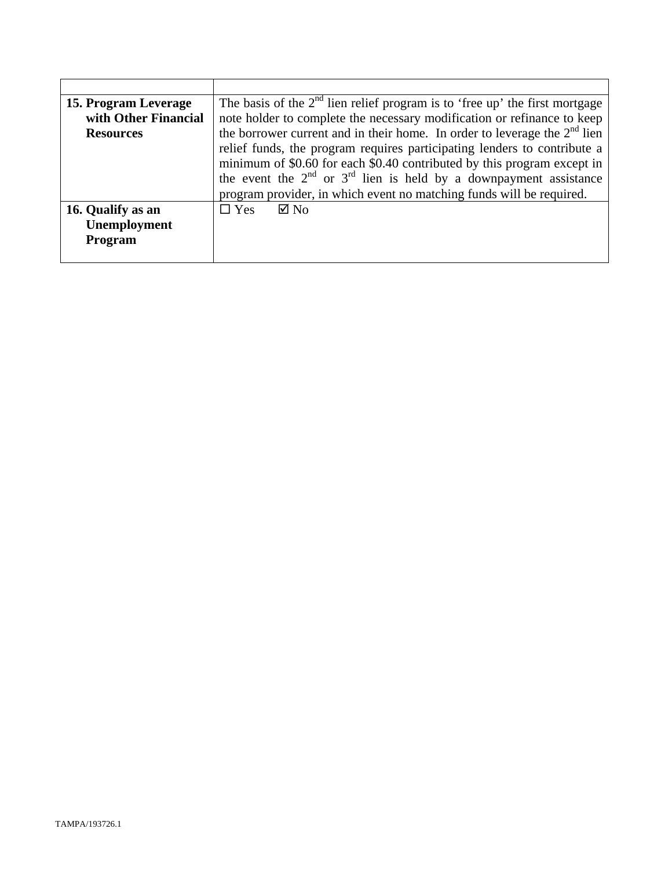| 15. Program Leverage | The basis of the $2nd$ lien relief program is to 'free up' the first mortgage                                                                                                                                                                                                                              |  |
|----------------------|------------------------------------------------------------------------------------------------------------------------------------------------------------------------------------------------------------------------------------------------------------------------------------------------------------|--|
| with Other Financial | note holder to complete the necessary modification or refinance to keep                                                                                                                                                                                                                                    |  |
| <b>Resources</b>     | the borrower current and in their home. In order to leverage the $2nd$ lien                                                                                                                                                                                                                                |  |
|                      | relief funds, the program requires participating lenders to contribute a<br>minimum of \$0.60 for each \$0.40 contributed by this program except in<br>the event the $2^{nd}$ or $3^{rd}$ lien is held by a downpayment assistance<br>program provider, in which event no matching funds will be required. |  |
|                      |                                                                                                                                                                                                                                                                                                            |  |
| 16. Qualify as an    | $\boxtimes$ No<br>$\Box$ Yes                                                                                                                                                                                                                                                                               |  |
| Unemployment         |                                                                                                                                                                                                                                                                                                            |  |
| Program              |                                                                                                                                                                                                                                                                                                            |  |
|                      |                                                                                                                                                                                                                                                                                                            |  |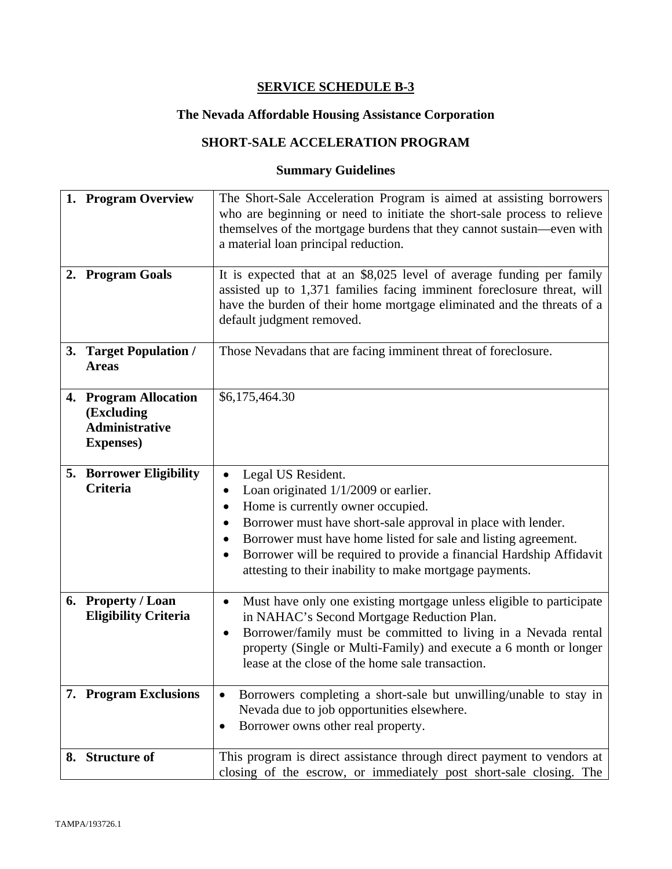# **The Nevada Affordable Housing Assistance Corporation**

# **SHORT-SALE ACCELERATION PROGRAM**

| 1. Program Overview<br>2. Program Goals                                           | The Short-Sale Acceleration Program is aimed at assisting borrowers<br>who are beginning or need to initiate the short-sale process to relieve<br>themselves of the mortgage burdens that they cannot sustain—even with<br>a material loan principal reduction.<br>It is expected that at an \$8,025 level of average funding per family                                                                     |
|-----------------------------------------------------------------------------------|--------------------------------------------------------------------------------------------------------------------------------------------------------------------------------------------------------------------------------------------------------------------------------------------------------------------------------------------------------------------------------------------------------------|
|                                                                                   | assisted up to 1,371 families facing imminent foreclosure threat, will<br>have the burden of their home mortgage eliminated and the threats of a<br>default judgment removed.                                                                                                                                                                                                                                |
| 3. Target Population /<br><b>Areas</b>                                            | Those Nevadans that are facing imminent threat of foreclosure.                                                                                                                                                                                                                                                                                                                                               |
| 4. Program Allocation<br>(Excluding<br><b>Administrative</b><br><b>Expenses</b> ) | \$6,175,464.30                                                                                                                                                                                                                                                                                                                                                                                               |
| <b>5. Borrower Eligibility</b><br><b>Criteria</b>                                 | Legal US Resident.<br>$\bullet$<br>Loan originated $1/1/2009$ or earlier.<br>$\bullet$<br>Home is currently owner occupied.<br>Borrower must have short-sale approval in place with lender.<br>Borrower must have home listed for sale and listing agreement.<br>Borrower will be required to provide a financial Hardship Affidavit<br>$\bullet$<br>attesting to their inability to make mortgage payments. |
| 6. Property / Loan<br><b>Eligibility Criteria</b>                                 | Must have only one existing mortgage unless eligible to participate<br>$\bullet$<br>in NAHAC's Second Mortgage Reduction Plan.<br>Borrower/family must be committed to living in a Nevada rental<br>$\bullet$<br>property (Single or Multi-Family) and execute a 6 month or longer<br>lease at the close of the home sale transaction.                                                                       |
| 7. Program Exclusions                                                             | Borrowers completing a short-sale but unwilling/unable to stay in<br>$\bullet$<br>Nevada due to job opportunities elsewhere.<br>Borrower owns other real property.<br>$\bullet$                                                                                                                                                                                                                              |
| 8. Structure of                                                                   | This program is direct assistance through direct payment to vendors at<br>closing of the escrow, or immediately post short-sale closing. The                                                                                                                                                                                                                                                                 |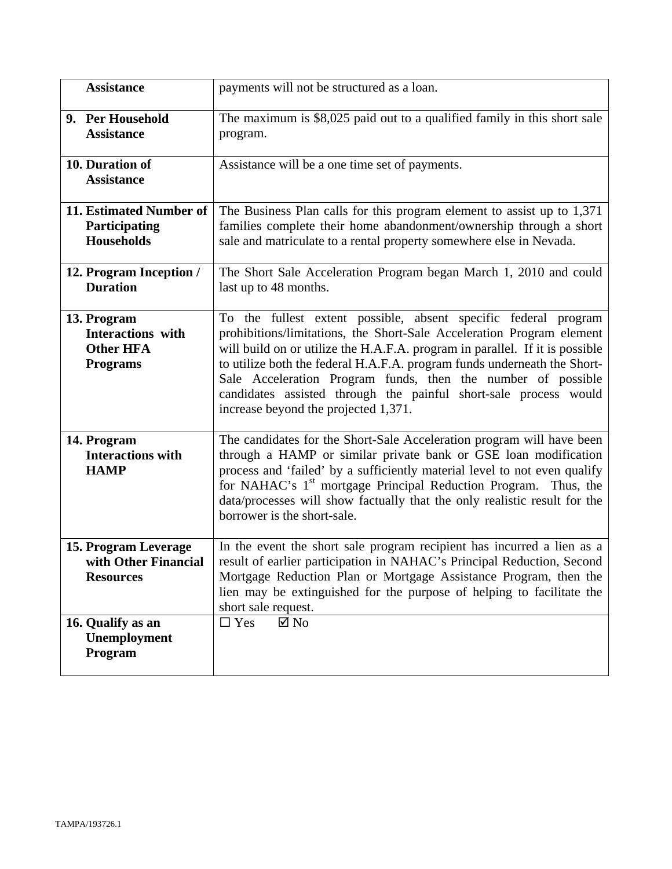| <b>Assistance</b>                                                       | payments will not be structured as a loan.                                                                                                                                                                                                                                                                                                                                                                                                                                       |
|-------------------------------------------------------------------------|----------------------------------------------------------------------------------------------------------------------------------------------------------------------------------------------------------------------------------------------------------------------------------------------------------------------------------------------------------------------------------------------------------------------------------------------------------------------------------|
| 9. Per Household<br><b>Assistance</b>                                   | The maximum is \$8,025 paid out to a qualified family in this short sale<br>program.                                                                                                                                                                                                                                                                                                                                                                                             |
| 10. Duration of<br><b>Assistance</b>                                    | Assistance will be a one time set of payments.                                                                                                                                                                                                                                                                                                                                                                                                                                   |
| 11. Estimated Number of<br>Participating<br><b>Households</b>           | The Business Plan calls for this program element to assist up to 1,371<br>families complete their home abandonment/ownership through a short<br>sale and matriculate to a rental property somewhere else in Nevada.                                                                                                                                                                                                                                                              |
| 12. Program Inception /<br><b>Duration</b>                              | The Short Sale Acceleration Program began March 1, 2010 and could<br>last up to 48 months.                                                                                                                                                                                                                                                                                                                                                                                       |
| 13. Program<br>Interactions with<br><b>Other HFA</b><br><b>Programs</b> | To the fullest extent possible, absent specific federal program<br>prohibitions/limitations, the Short-Sale Acceleration Program element<br>will build on or utilize the H.A.F.A. program in parallel. If it is possible<br>to utilize both the federal H.A.F.A. program funds underneath the Short-<br>Sale Acceleration Program funds, then the number of possible<br>candidates assisted through the painful short-sale process would<br>increase beyond the projected 1,371. |
| 14. Program<br><b>Interactions with</b><br><b>HAMP</b>                  | The candidates for the Short-Sale Acceleration program will have been<br>through a HAMP or similar private bank or GSE loan modification<br>process and 'failed' by a sufficiently material level to not even qualify<br>for NAHAC's 1 <sup>st</sup> mortgage Principal Reduction Program. Thus, the<br>data/processes will show factually that the only realistic result for the<br>borrower is the short-sale.                                                                 |
| 15. Program Leverage<br>with Other Financial<br><b>Resources</b>        | In the event the short sale program recipient has incurred a lien as a<br>result of earlier participation in NAHAC's Principal Reduction, Second<br>Mortgage Reduction Plan or Mortgage Assistance Program, then the<br>lien may be extinguished for the purpose of helping to facilitate the<br>short sale request.                                                                                                                                                             |
| 16. Qualify as an<br>Unemployment<br>Program                            | $\Box$ Yes<br>$\boxtimes$ No                                                                                                                                                                                                                                                                                                                                                                                                                                                     |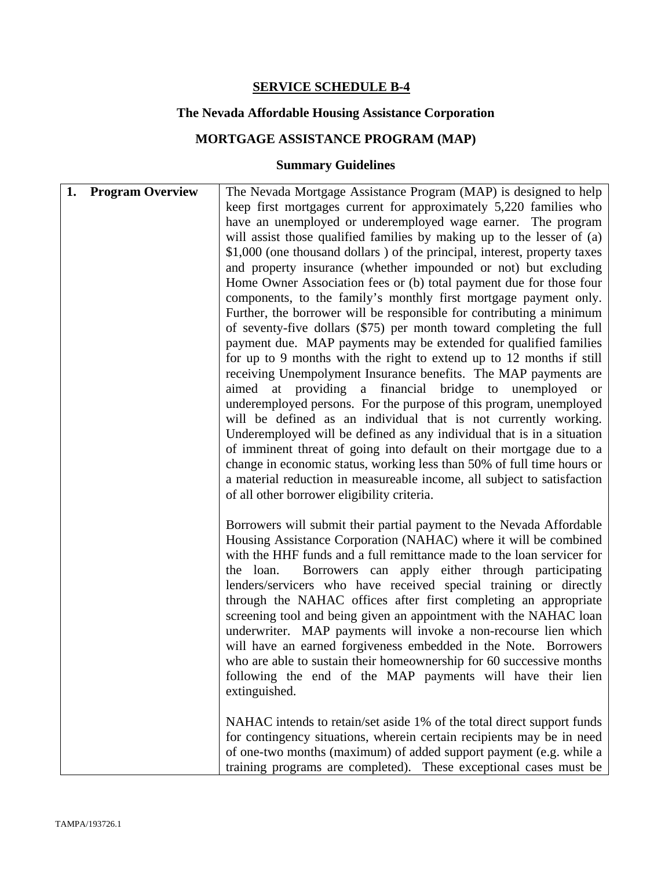## **The Nevada Affordable Housing Assistance Corporation**

# **MORTGAGE ASSISTANCE PROGRAM (MAP)**

| 1. |                         |                                                                           |
|----|-------------------------|---------------------------------------------------------------------------|
|    | <b>Program Overview</b> | The Nevada Mortgage Assistance Program (MAP) is designed to help          |
|    |                         | keep first mortgages current for approximately 5,220 families who         |
|    |                         | have an unemployed or underemployed wage earner. The program              |
|    |                         | will assist those qualified families by making up to the lesser of (a)    |
|    |                         | \$1,000 (one thousand dollars) of the principal, interest, property taxes |
|    |                         | and property insurance (whether impounded or not) but excluding           |
|    |                         | Home Owner Association fees or (b) total payment due for those four       |
|    |                         |                                                                           |
|    |                         | components, to the family's monthly first mortgage payment only.          |
|    |                         | Further, the borrower will be responsible for contributing a minimum      |
|    |                         | of seventy-five dollars (\$75) per month toward completing the full       |
|    |                         | payment due. MAP payments may be extended for qualified families          |
|    |                         | for up to 9 months with the right to extend up to 12 months if still      |
|    |                         | receiving Unempolyment Insurance benefits. The MAP payments are           |
|    |                         | aimed at providing a financial bridge to unemployed or                    |
|    |                         | underemployed persons. For the purpose of this program, unemployed        |
|    |                         |                                                                           |
|    |                         | will be defined as an individual that is not currently working.           |
|    |                         | Underemployed will be defined as any individual that is in a situation    |
|    |                         | of imminent threat of going into default on their mortgage due to a       |
|    |                         | change in economic status, working less than 50% of full time hours or    |
|    |                         | a material reduction in measureable income, all subject to satisfaction   |
|    |                         | of all other borrower eligibility criteria.                               |
|    |                         |                                                                           |
|    |                         | Borrowers will submit their partial payment to the Nevada Affordable      |
|    |                         | Housing Assistance Corporation (NAHAC) where it will be combined          |
|    |                         |                                                                           |
|    |                         | with the HHF funds and a full remittance made to the loan servicer for    |
|    |                         | Borrowers can apply either through participating<br>the loan.             |
|    |                         | lenders/servicers who have received special training or directly          |
|    |                         | through the NAHAC offices after first completing an appropriate           |
|    |                         | screening tool and being given an appointment with the NAHAC loan         |
|    |                         | underwriter. MAP payments will invoke a non-recourse lien which           |
|    |                         | will have an earned forgiveness embedded in the Note. Borrowers           |
|    |                         | who are able to sustain their homeownership for 60 successive months      |
|    |                         | following the end of the MAP payments will have their lien                |
|    |                         |                                                                           |
|    |                         | extinguished.                                                             |
|    |                         |                                                                           |
|    |                         | NAHAC intends to retain/set aside 1% of the total direct support funds    |
|    |                         | for contingency situations, wherein certain recipients may be in need     |
|    |                         | of one-two months (maximum) of added support payment (e.g. while a        |
|    |                         | training programs are completed). These exceptional cases must be         |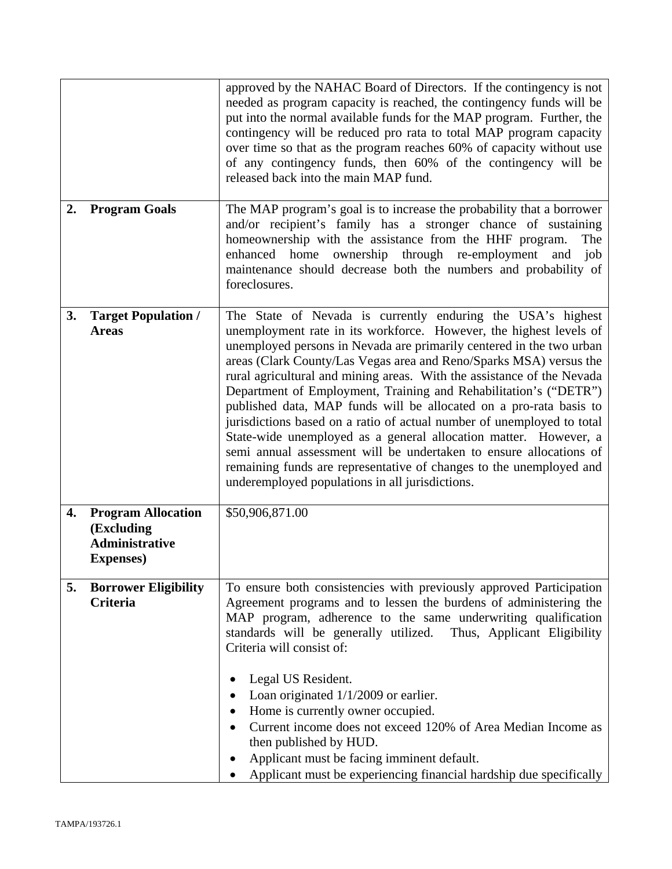|    |                                                                                       | approved by the NAHAC Board of Directors. If the contingency is not<br>needed as program capacity is reached, the contingency funds will be<br>put into the normal available funds for the MAP program. Further, the<br>contingency will be reduced pro rata to total MAP program capacity<br>over time so that as the program reaches 60% of capacity without use<br>of any contingency funds, then 60% of the contingency will be<br>released back into the main MAP fund.                                                                                                                                                                                                                                                                                                                                                                      |
|----|---------------------------------------------------------------------------------------|---------------------------------------------------------------------------------------------------------------------------------------------------------------------------------------------------------------------------------------------------------------------------------------------------------------------------------------------------------------------------------------------------------------------------------------------------------------------------------------------------------------------------------------------------------------------------------------------------------------------------------------------------------------------------------------------------------------------------------------------------------------------------------------------------------------------------------------------------|
| 2. | <b>Program Goals</b>                                                                  | The MAP program's goal is to increase the probability that a borrower<br>and/or recipient's family has a stronger chance of sustaining<br>homeownership with the assistance from the HHF program.<br>The<br>enhanced home ownership through re-employment<br>job<br>and<br>maintenance should decrease both the numbers and probability of<br>foreclosures.                                                                                                                                                                                                                                                                                                                                                                                                                                                                                       |
| 3. | <b>Target Population /</b><br><b>Areas</b>                                            | The State of Nevada is currently enduring the USA's highest<br>unemployment rate in its workforce. However, the highest levels of<br>unemployed persons in Nevada are primarily centered in the two urban<br>areas (Clark County/Las Vegas area and Reno/Sparks MSA) versus the<br>rural agricultural and mining areas. With the assistance of the Nevada<br>Department of Employment, Training and Rehabilitation's ("DETR")<br>published data, MAP funds will be allocated on a pro-rata basis to<br>jurisdictions based on a ratio of actual number of unemployed to total<br>State-wide unemployed as a general allocation matter. However, a<br>semi annual assessment will be undertaken to ensure allocations of<br>remaining funds are representative of changes to the unemployed and<br>underemployed populations in all jurisdictions. |
| 4. | <b>Program Allocation</b><br>(Excluding<br><b>Administrative</b><br><b>Expenses</b> ) | \$50,906,871.00                                                                                                                                                                                                                                                                                                                                                                                                                                                                                                                                                                                                                                                                                                                                                                                                                                   |
| 5. | <b>Borrower Eligibility</b><br><b>Criteria</b>                                        | To ensure both consistencies with previously approved Participation<br>Agreement programs and to lessen the burdens of administering the<br>MAP program, adherence to the same underwriting qualification<br>standards will be generally utilized. Thus, Applicant Eligibility<br>Criteria will consist of:<br>Legal US Resident.<br>Loan originated $1/1/2009$ or earlier.<br>Home is currently owner occupied.<br>Current income does not exceed 120% of Area Median Income as<br>then published by HUD.<br>Applicant must be facing imminent default.<br>Applicant must be experiencing financial hardship due specifically                                                                                                                                                                                                                    |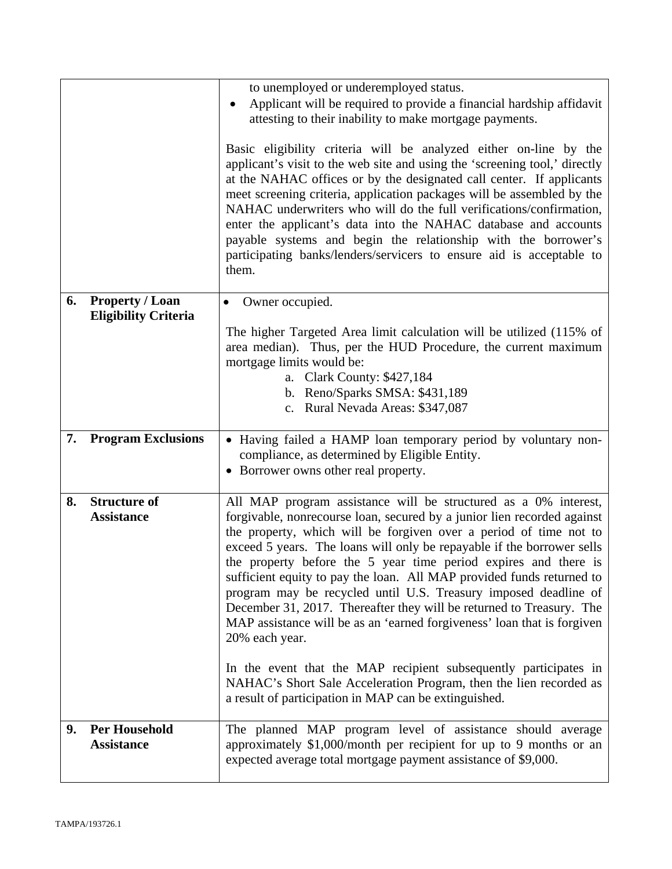|    |                                          | to unemployed or underemployed status.                                                                                                                                                                                                                                                                                                                                                                                                                                                                                                                                                                                                                                                                                                            |
|----|------------------------------------------|---------------------------------------------------------------------------------------------------------------------------------------------------------------------------------------------------------------------------------------------------------------------------------------------------------------------------------------------------------------------------------------------------------------------------------------------------------------------------------------------------------------------------------------------------------------------------------------------------------------------------------------------------------------------------------------------------------------------------------------------------|
|    |                                          | Applicant will be required to provide a financial hardship affidavit<br>attesting to their inability to make mortgage payments.                                                                                                                                                                                                                                                                                                                                                                                                                                                                                                                                                                                                                   |
|    |                                          | Basic eligibility criteria will be analyzed either on-line by the<br>applicant's visit to the web site and using the 'screening tool,' directly<br>at the NAHAC offices or by the designated call center. If applicants<br>meet screening criteria, application packages will be assembled by the<br>NAHAC underwriters who will do the full verifications/confirmation,<br>enter the applicant's data into the NAHAC database and accounts<br>payable systems and begin the relationship with the borrower's<br>participating banks/lenders/servicers to ensure aid is acceptable to<br>them.                                                                                                                                                    |
| 6. | <b>Property / Loan</b>                   | Owner occupied.<br>$\bullet$                                                                                                                                                                                                                                                                                                                                                                                                                                                                                                                                                                                                                                                                                                                      |
|    | <b>Eligibility Criteria</b>              | The higher Targeted Area limit calculation will be utilized (115% of<br>area median). Thus, per the HUD Procedure, the current maximum<br>mortgage limits would be:<br>a. Clark County: \$427,184<br>b. Reno/Sparks SMSA: \$431,189<br>c. Rural Nevada Areas: \$347,087                                                                                                                                                                                                                                                                                                                                                                                                                                                                           |
| 7. | <b>Program Exclusions</b>                | • Having failed a HAMP loan temporary period by voluntary non-<br>compliance, as determined by Eligible Entity.                                                                                                                                                                                                                                                                                                                                                                                                                                                                                                                                                                                                                                   |
|    |                                          |                                                                                                                                                                                                                                                                                                                                                                                                                                                                                                                                                                                                                                                                                                                                                   |
|    |                                          | • Borrower owns other real property.                                                                                                                                                                                                                                                                                                                                                                                                                                                                                                                                                                                                                                                                                                              |
| 8. | <b>Structure of</b><br><b>Assistance</b> | All MAP program assistance will be structured as a 0% interest,<br>forgivable, nonrecourse loan, secured by a junior lien recorded against<br>the property, which will be forgiven over a period of time not to<br>exceed 5 years. The loans will only be repayable if the borrower sells<br>the property before the 5 year time period expires and there is<br>sufficient equity to pay the loan. All MAP provided funds returned to<br>program may be recycled until U.S. Treasury imposed deadline of<br>December 31, 2017. Thereafter they will be returned to Treasury. The<br>MAP assistance will be as an 'earned forgiveness' loan that is forgiven<br>20% each year.<br>In the event that the MAP recipient subsequently participates in |
|    |                                          | NAHAC's Short Sale Acceleration Program, then the lien recorded as<br>a result of participation in MAP can be extinguished.                                                                                                                                                                                                                                                                                                                                                                                                                                                                                                                                                                                                                       |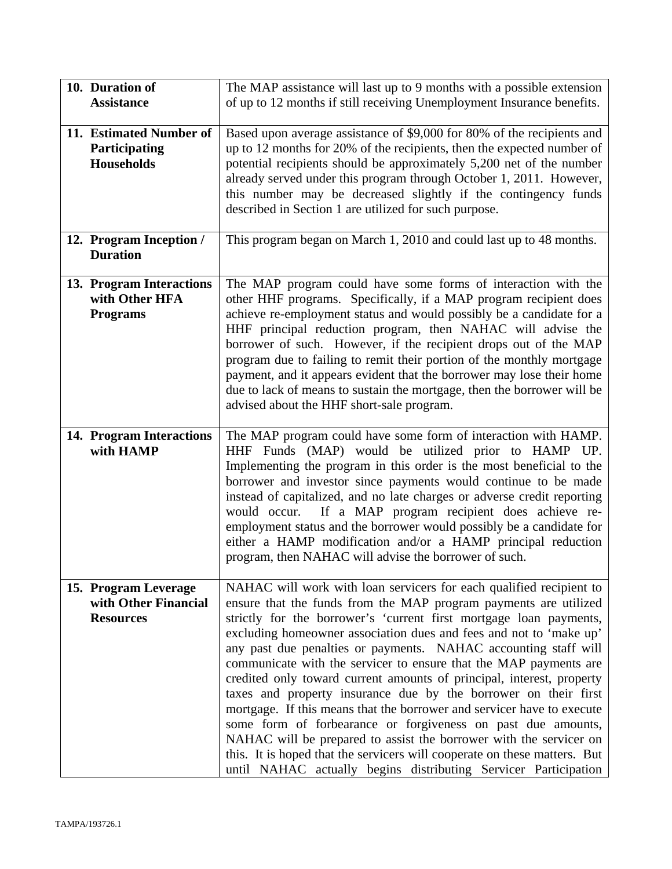| 10. Duration of<br><b>Assistance</b>                             | The MAP assistance will last up to 9 months with a possible extension<br>of up to 12 months if still receiving Unemployment Insurance benefits.                                                                                                                                                                                                                                                                                                                                                                                                                                                                                                                                                                                                                                                                                                                                                                                         |
|------------------------------------------------------------------|-----------------------------------------------------------------------------------------------------------------------------------------------------------------------------------------------------------------------------------------------------------------------------------------------------------------------------------------------------------------------------------------------------------------------------------------------------------------------------------------------------------------------------------------------------------------------------------------------------------------------------------------------------------------------------------------------------------------------------------------------------------------------------------------------------------------------------------------------------------------------------------------------------------------------------------------|
|                                                                  |                                                                                                                                                                                                                                                                                                                                                                                                                                                                                                                                                                                                                                                                                                                                                                                                                                                                                                                                         |
| 11. Estimated Number of<br>Participating<br><b>Households</b>    | Based upon average assistance of \$9,000 for 80% of the recipients and<br>up to 12 months for 20% of the recipients, then the expected number of<br>potential recipients should be approximately 5,200 net of the number<br>already served under this program through October 1, 2011. However,<br>this number may be decreased slightly if the contingency funds<br>described in Section 1 are utilized for such purpose.                                                                                                                                                                                                                                                                                                                                                                                                                                                                                                              |
| 12. Program Inception /<br><b>Duration</b>                       | This program began on March 1, 2010 and could last up to 48 months.                                                                                                                                                                                                                                                                                                                                                                                                                                                                                                                                                                                                                                                                                                                                                                                                                                                                     |
| 13. Program Interactions<br>with Other HFA<br><b>Programs</b>    | The MAP program could have some forms of interaction with the<br>other HHF programs. Specifically, if a MAP program recipient does<br>achieve re-employment status and would possibly be a candidate for a<br>HHF principal reduction program, then NAHAC will advise the<br>borrower of such. However, if the recipient drops out of the MAP<br>program due to failing to remit their portion of the monthly mortgage<br>payment, and it appears evident that the borrower may lose their home<br>due to lack of means to sustain the mortgage, then the borrower will be<br>advised about the HHF short-sale program.                                                                                                                                                                                                                                                                                                                 |
| 14. Program Interactions<br>with HAMP                            | The MAP program could have some form of interaction with HAMP.<br>HHF Funds (MAP) would be utilized prior to HAMP UP.<br>Implementing the program in this order is the most beneficial to the<br>borrower and investor since payments would continue to be made<br>instead of capitalized, and no late charges or adverse credit reporting<br>If a MAP program recipient does achieve re-<br>would occur.<br>employment status and the borrower would possibly be a candidate for<br>either a HAMP modification and/or a HAMP principal reduction<br>program, then NAHAC will advise the borrower of such.                                                                                                                                                                                                                                                                                                                              |
| 15. Program Leverage<br>with Other Financial<br><b>Resources</b> | NAHAC will work with loan servicers for each qualified recipient to<br>ensure that the funds from the MAP program payments are utilized<br>strictly for the borrower's 'current first mortgage loan payments,<br>excluding homeowner association dues and fees and not to 'make up'<br>any past due penalties or payments. NAHAC accounting staff will<br>communicate with the servicer to ensure that the MAP payments are<br>credited only toward current amounts of principal, interest, property<br>taxes and property insurance due by the borrower on their first<br>mortgage. If this means that the borrower and servicer have to execute<br>some form of forbearance or forgiveness on past due amounts,<br>NAHAC will be prepared to assist the borrower with the servicer on<br>this. It is hoped that the servicers will cooperate on these matters. But<br>until NAHAC actually begins distributing Servicer Participation |